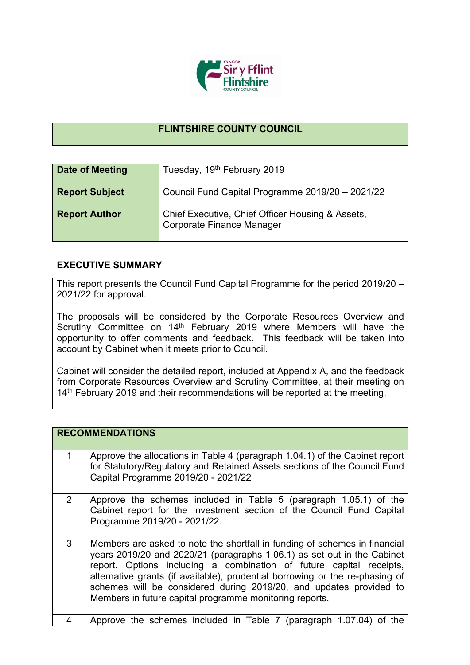

## **FLINTSHIRE COUNTY COUNCIL**

| Date of Meeting       | Tuesday, 19th February 2019                                                   |
|-----------------------|-------------------------------------------------------------------------------|
| <b>Report Subject</b> | Council Fund Capital Programme 2019/20 - 2021/22                              |
| <b>Report Author</b>  | Chief Executive, Chief Officer Housing & Assets,<br>Corporate Finance Manager |

## **EXECUTIVE SUMMARY**

This report presents the Council Fund Capital Programme for the period 2019/20 – 2021/22 for approval.

The proposals will be considered by the Corporate Resources Overview and Scrutiny Committee on 14<sup>th</sup> February 2019 where Members will have the opportunity to offer comments and feedback. This feedback will be taken into account by Cabinet when it meets prior to Council.

Cabinet will consider the detailed report, included at Appendix A, and the feedback from Corporate Resources Overview and Scrutiny Committee, at their meeting on 14<sup>th</sup> February 2019 and their recommendations will be reported at the meeting.

|                | <b>RECOMMENDATIONS</b>                                                                                                                                                                                                                                                                                                                                                                                                                        |
|----------------|-----------------------------------------------------------------------------------------------------------------------------------------------------------------------------------------------------------------------------------------------------------------------------------------------------------------------------------------------------------------------------------------------------------------------------------------------|
|                | Approve the allocations in Table 4 (paragraph 1.04.1) of the Cabinet report<br>for Statutory/Regulatory and Retained Assets sections of the Council Fund<br>Capital Programme 2019/20 - 2021/22                                                                                                                                                                                                                                               |
| $\overline{2}$ | Approve the schemes included in Table 5 (paragraph 1.05.1) of the<br>Cabinet report for the Investment section of the Council Fund Capital<br>Programme 2019/20 - 2021/22.                                                                                                                                                                                                                                                                    |
| 3              | Members are asked to note the shortfall in funding of schemes in financial<br>years 2019/20 and 2020/21 (paragraphs 1.06.1) as set out in the Cabinet<br>report. Options including a combination of future capital receipts,<br>alternative grants (if available), prudential borrowing or the re-phasing of<br>schemes will be considered during 2019/20, and updates provided to<br>Members in future capital programme monitoring reports. |
|                | Approve the schemes included in Table 7 (paragraph 1.07.04)<br>the.<br>0t                                                                                                                                                                                                                                                                                                                                                                     |